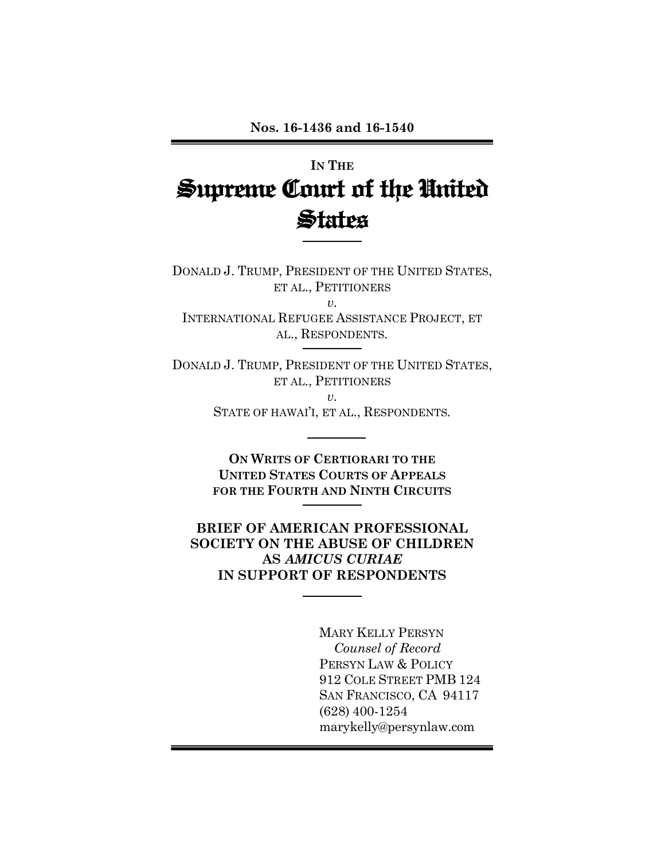# **IN THE Supreme Court of the United States**

DONALD J. TRUMP, PRESIDENT OF THE UNITED STATES, ET AL., PETITIONERS *v.*

INTERNATIONAL REFUGEE ASSISTANCE PROJECT, ET AL., RESPONDENTS*.*

DONALD J. TRUMP, PRESIDENT OF THE UNITED STATES, ET AL., PETITIONERS

> *v.* STATE OF HAWAI'I, ET AL., RESPONDENTS*.*

> **ON WRITS OF CERTIORARI TO THE UNITED STATES COURTS OF APPEALS FOR THE FOURTH AND NINTH CIRCUITS**

**BRIEF OF AMERICAN PROFESSIONAL SOCIETY ON THE ABUSE OF CHILDREN AS** *AMICUS CURIAE* **IN SUPPORT OF RESPONDENTS**

> MARY KELLY PERSYN *Counsel of Record* PERSYN LAW & POLICY 912 COLE STREET PMB 124 SAN FRANCISCO, CA 94117 (628) 400-1254 marykelly@persynlaw.com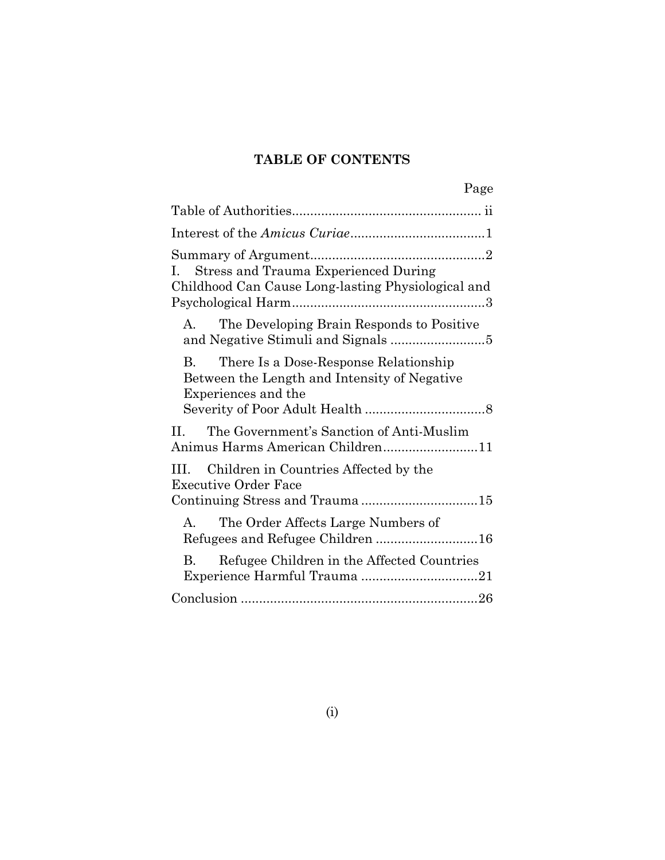# **TABLE OF CONTENTS**

| Page                                                                                                                         |
|------------------------------------------------------------------------------------------------------------------------------|
|                                                                                                                              |
|                                                                                                                              |
| <b>Stress and Trauma Experienced During</b><br>$\mathbf{L}$<br>Childhood Can Cause Long-lasting Physiological and            |
| The Developing Brain Responds to Positive<br>A.                                                                              |
| There Is a Dose-Response Relationship<br>$\mathbf{B}$<br>Between the Length and Intensity of Negative<br>Experiences and the |
| The Government's Sanction of Anti-Muslim<br>$\Pi$ .<br>Animus Harms American Children11                                      |
| Children in Countries Affected by the<br>III —<br><b>Executive Order Face</b>                                                |
| The Order Affects Large Numbers of<br>$\mathsf{A}$                                                                           |
| Refugee Children in the Affected Countries<br>B.                                                                             |
|                                                                                                                              |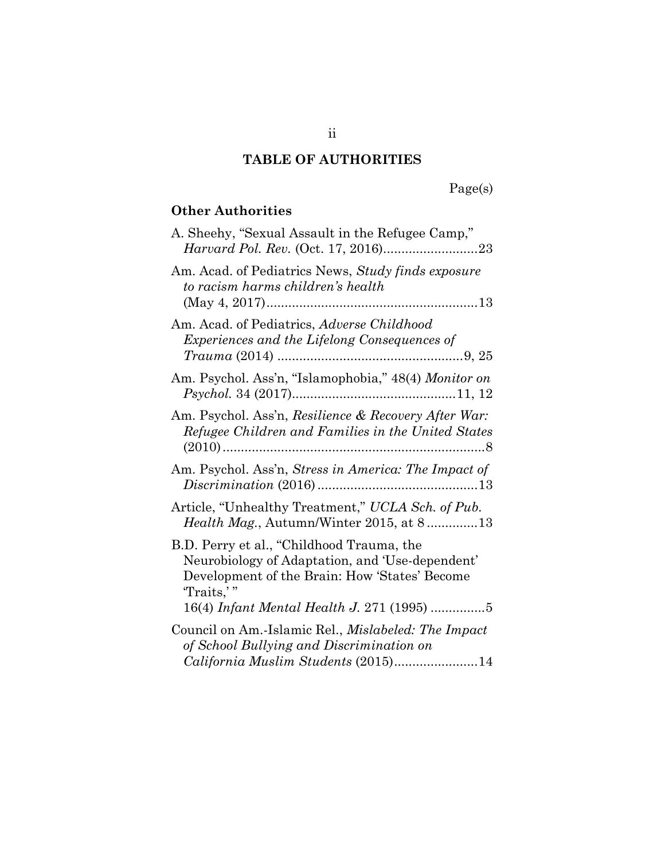### **TABLE OF AUTHORITIES**

# Page(s)

### **Other Authorities**

| A. Sheehy, "Sexual Assault in the Refugee Camp,"                                                                                                                                                        |
|---------------------------------------------------------------------------------------------------------------------------------------------------------------------------------------------------------|
| Am. Acad. of Pediatrics News, Study finds exposure<br>to racism harms children's health                                                                                                                 |
| Am. Acad. of Pediatrics, Adverse Childhood<br><i>Experiences and the Lifelong Consequences of</i>                                                                                                       |
| Am. Psychol. Ass'n, "Islamophobia," 48(4) Monitor on                                                                                                                                                    |
| Am. Psychol. Ass'n, Resilience & Recovery After War:<br>Refugee Children and Families in the United States                                                                                              |
| Am. Psychol. Ass'n, <i>Stress in America: The Impact of</i>                                                                                                                                             |
| Article, "Unhealthy Treatment," UCLA Sch. of Pub.<br>Health Mag., Autumn/Winter 2015, at 813                                                                                                            |
| B.D. Perry et al., "Childhood Trauma, the<br>Neurobiology of Adaptation, and 'Use-dependent'<br>Development of the Brain: How 'States' Become<br>Traits,"<br>16(4) Infant Mental Health J. 271 (1995) 5 |
|                                                                                                                                                                                                         |
| Council on Am.-Islamic Rel., <i>Mislabeled: The Impact</i><br>of School Bullying and Discrimination on                                                                                                  |
| California Muslim Students (2015)14                                                                                                                                                                     |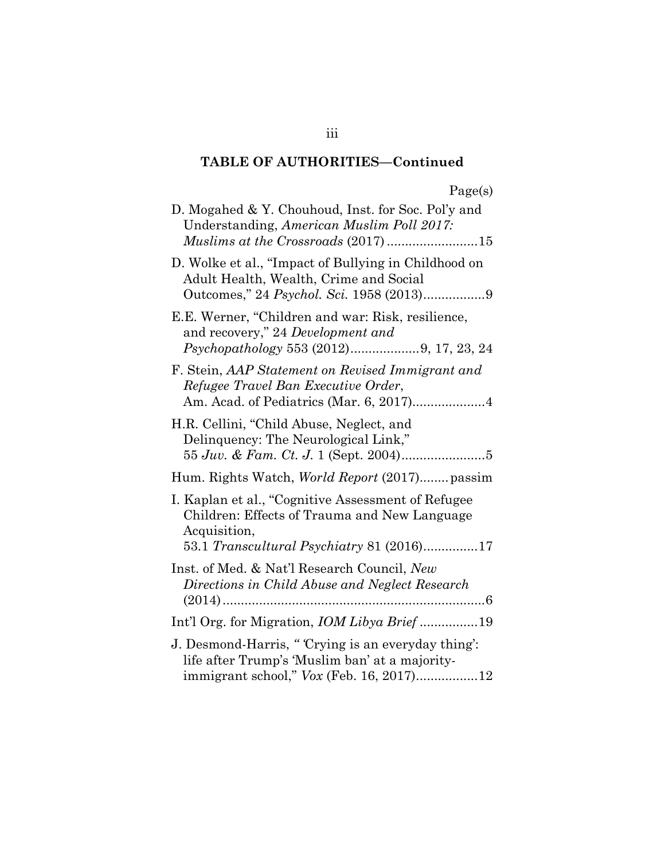| gρ |  |
|----|--|
|    |  |

| D. Mogahed & Y. Chouhoud, Inst. for Soc. Pol'y and<br>Understanding, American Muslim Poll 2017:<br>Muslims at the Crossroads (2017)15                           |
|-----------------------------------------------------------------------------------------------------------------------------------------------------------------|
| D. Wolke et al., "Impact of Bullying in Childhood on<br>Adult Health, Wealth, Crime and Social                                                                  |
| E.E. Werner, "Children and war: Risk, resilience,<br>and recovery," 24 Development and                                                                          |
| F. Stein, AAP Statement on Revised Immigrant and<br>Refugee Travel Ban Executive Order,<br>Am. Acad. of Pediatrics (Mar. 6, 2017)4                              |
| H.R. Cellini, "Child Abuse, Neglect, and<br>Delinquency: The Neurological Link,"                                                                                |
| Hum. Rights Watch, <i>World Report</i> (2017) passim                                                                                                            |
| I. Kaplan et al., "Cognitive Assessment of Refugee<br>Children: Effects of Trauma and New Language<br>Acquisition,<br>53.1 Transcultural Psychiatry 81 (2016)17 |
| Inst. of Med. & Nat'l Research Council, New<br>Directions in Child Abuse and Neglect Research                                                                   |
| Int'l Org. for Migration, IOM Libya Brief19                                                                                                                     |
| J. Desmond-Harris, "Crying is an everyday thing':<br>life after Trump's 'Muslim ban' at a majority-                                                             |

iii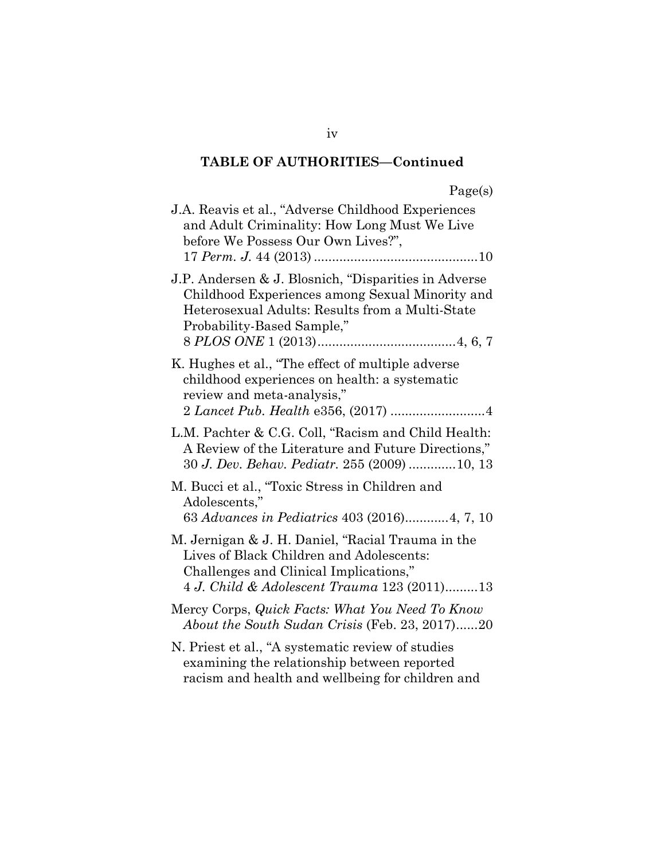| . . | get | S |
|-----|-----|---|
|     |     |   |

| J.A. Reavis et al., "Adverse Childhood Experiences"<br>and Adult Criminality: How Long Must We Live<br>before We Possess Our Own Lives?",                                                |
|------------------------------------------------------------------------------------------------------------------------------------------------------------------------------------------|
| J.P. Andersen & J. Blosnich, "Disparities in Adverse<br>Childhood Experiences among Sexual Minority and<br>Heterosexual Adults: Results from a Multi-State<br>Probability-Based Sample," |
| K. Hughes et al., "The effect of multiple adverse<br>childhood experiences on health: a systematic<br>review and meta-analysis,"                                                         |
| L.M. Pachter & C.G. Coll, "Racism and Child Health:<br>A Review of the Literature and Future Directions,"<br>30 J. Dev. Behav. Pediatr. 255 (2009) 10, 13                                |
| M. Bucci et al., "Toxic Stress in Children and<br>Adolescents,"<br>63 Advances in Pediatrics 403 (2016)4, 7, 10                                                                          |
| M. Jernigan & J. H. Daniel, "Racial Trauma in the<br>Lives of Black Children and Adolescents:<br>Challenges and Clinical Implications,"<br>4 J. Child & Adolescent Trauma 123 (2011)13   |
| Mercy Corps, Quick Facts: What You Need To Know<br>About the South Sudan Crisis (Feb. 23, 2017)20                                                                                        |
| N. Priest et al., "A systematic review of studies<br>examining the relationship between reported                                                                                         |

racism and health and wellbeing for children and

iv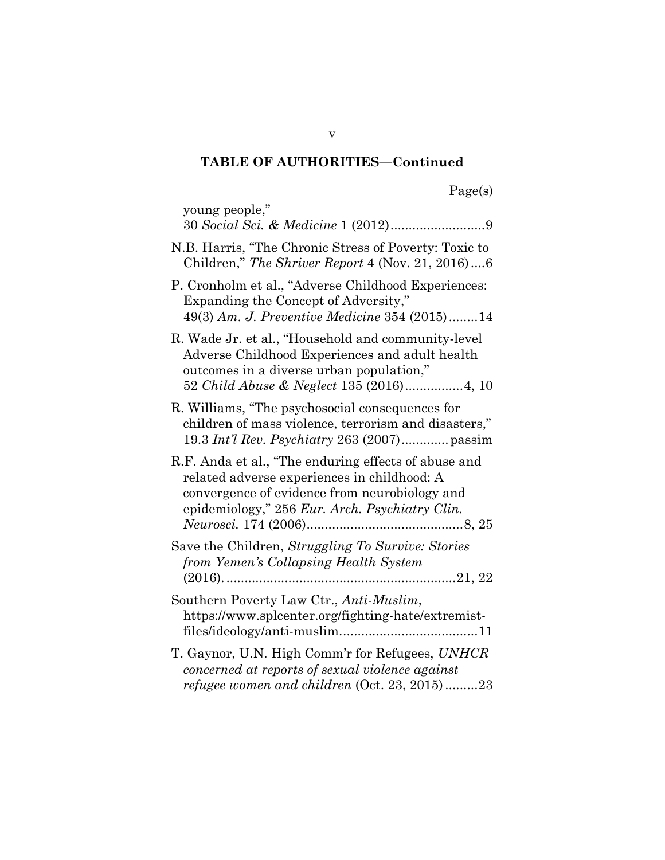| σe | $\sim$ |
|----|--------|
|    |        |

| young people,"                                                                                                                                                                                         |
|--------------------------------------------------------------------------------------------------------------------------------------------------------------------------------------------------------|
| N.B. Harris, "The Chronic Stress of Poverty: Toxic to<br>Children," The Shriver Report $4$ (Nov. 21, 2016) $6$                                                                                         |
| P. Cronholm et al., "Adverse Childhood Experiences:<br>Expanding the Concept of Adversity,"<br>49(3) Am. J. Preventive Medicine 354 (2015)14                                                           |
| R. Wade Jr. et al., "Household and community-level<br>Adverse Childhood Experiences and adult health<br>outcomes in a diverse urban population,"                                                       |
| R. Williams, "The psychosocial consequences for<br>children of mass violence, terrorism and disasters,"                                                                                                |
| R.F. Anda et al., "The enduring effects of abuse and<br>related adverse experiences in childhood: A<br>convergence of evidence from neurobiology and<br>epidemiology," 256 Eur. Arch. Psychiatry Clin. |
| Save the Children, Struggling To Survive: Stories<br>from Yemen's Collapsing Health System                                                                                                             |
| Southern Poverty Law Ctr., Anti-Muslim,<br>https://www.splcenter.org/fighting-hate/extremist-                                                                                                          |
| T. Gaynor, U.N. High Comm'r for Refugees, UNHCR<br>concerned at reports of sexual violence against<br>refugee women and children (Oct. 23, 2015)23                                                     |

v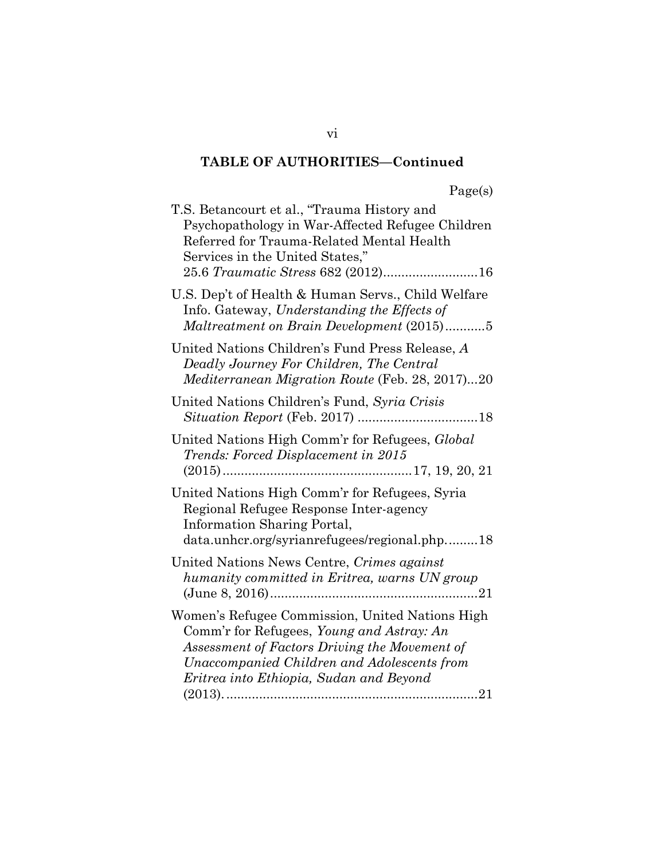| T.S. Betancourt et al., "Trauma History and<br>Psychopathology in War-Affected Refugee Children<br>Referred for Trauma-Related Mental Health<br>Services in the United States,"<br>25.6 Traumatic Stress 682 (2012)16                   |
|-----------------------------------------------------------------------------------------------------------------------------------------------------------------------------------------------------------------------------------------|
| U.S. Dep't of Health & Human Servs., Child Welfare<br>Info. Gateway, Understanding the Effects of<br>Maltreatment on Brain Development (2015)5                                                                                          |
| United Nations Children's Fund Press Release, A<br>Deadly Journey For Children, The Central<br>Mediterranean Migration Route (Feb. 28, 2017)20                                                                                          |
| United Nations Children's Fund, Syria Crisis                                                                                                                                                                                            |
| United Nations High Comm'r for Refugees, Global<br>Trends: Forced Displacement in 2015                                                                                                                                                  |
| United Nations High Comm'r for Refugees, Syria<br>Regional Refugee Response Inter-agency<br>Information Sharing Portal,<br>data.unhcr.org/syrianrefugees/regional.php18                                                                 |
| United Nations News Centre, Crimes against<br>humanity committed in Eritrea, warns UN group                                                                                                                                             |
| Women's Refugee Commission, United Nations High<br>Comm'r for Refugees, Young and Astray: An<br>Assessment of Factors Driving the Movement of<br>Unaccompanied Children and Adolescents from<br>Eritrea into Ethiopia, Sudan and Beyond |

vi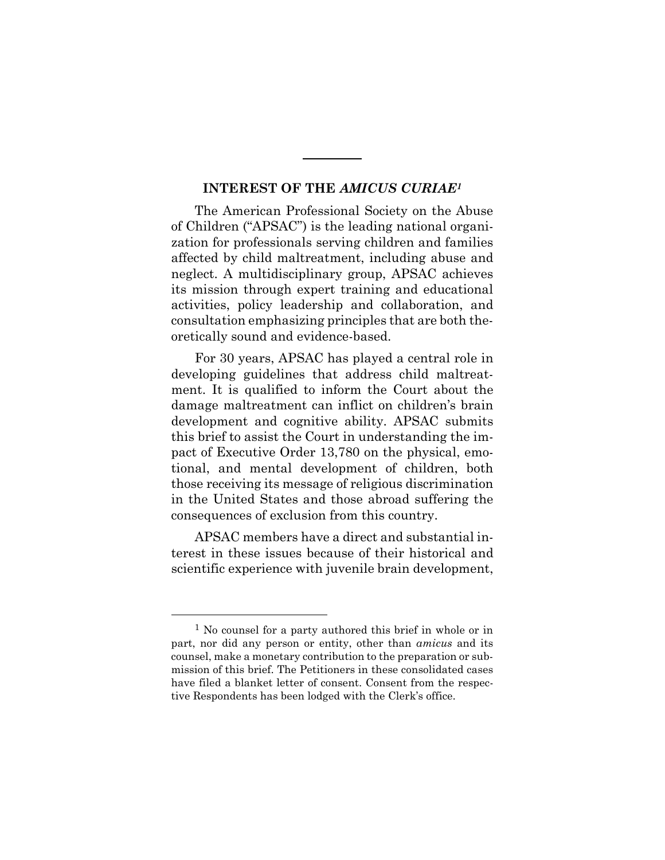#### **INTEREST OF THE** *AMICUS CURIAE<sup>1</sup>*

The American Professional Society on the Abuse of Children ("APSAC") is the leading national organization for professionals serving children and families affected by child maltreatment, including abuse and neglect. A multidisciplinary group, APSAC achieves its mission through expert training and educational activities, policy leadership and collaboration, and consultation emphasizing principles that are both theoretically sound and evidence-based.

For 30 years, APSAC has played a central role in developing guidelines that address child maltreatment. It is qualified to inform the Court about the damage maltreatment can inflict on children's brain development and cognitive ability. APSAC submits this brief to assist the Court in understanding the impact of Executive Order 13,780 on the physical, emotional, and mental development of children, both those receiving its message of religious discrimination in the United States and those abroad suffering the consequences of exclusion from this country.

APSAC members have a direct and substantial interest in these issues because of their historical and scientific experience with juvenile brain development,

<sup>1</sup> No counsel for a party authored this brief in whole or in part, nor did any person or entity, other than *amicus* and its counsel, make a monetary contribution to the preparation or submission of this brief. The Petitioners in these consolidated cases have filed a blanket letter of consent. Consent from the respective Respondents has been lodged with the Clerk's office.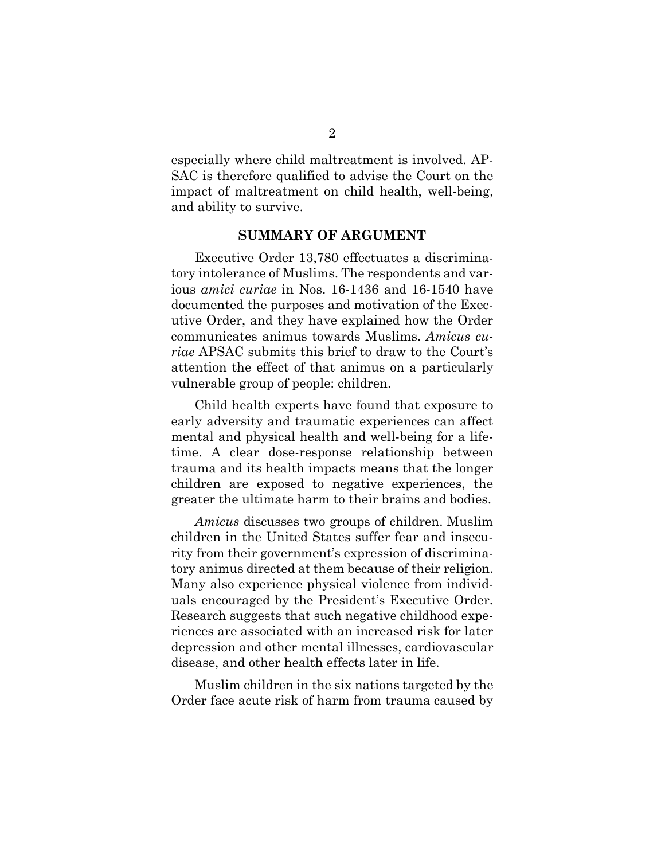especially where child maltreatment is involved. AP-SAC is therefore qualified to advise the Court on the impact of maltreatment on child health, well-being, and ability to survive.

#### **SUMMARY OF ARGUMENT**

Executive Order 13,780 effectuates a discriminatory intolerance of Muslims. The respondents and various *amici curiae* in Nos. 16-1436 and 16-1540 have documented the purposes and motivation of the Executive Order, and they have explained how the Order communicates animus towards Muslims. *Amicus curiae* APSAC submits this brief to draw to the Court's attention the effect of that animus on a particularly vulnerable group of people: children.

Child health experts have found that exposure to early adversity and traumatic experiences can affect mental and physical health and well-being for a lifetime. A clear dose-response relationship between trauma and its health impacts means that the longer children are exposed to negative experiences, the greater the ultimate harm to their brains and bodies.

*Amicus* discusses two groups of children. Muslim children in the United States suffer fear and insecurity from their government's expression of discriminatory animus directed at them because of their religion. Many also experience physical violence from individuals encouraged by the President's Executive Order. Research suggests that such negative childhood experiences are associated with an increased risk for later depression and other mental illnesses, cardiovascular disease, and other health effects later in life.

Muslim children in the six nations targeted by the Order face acute risk of harm from trauma caused by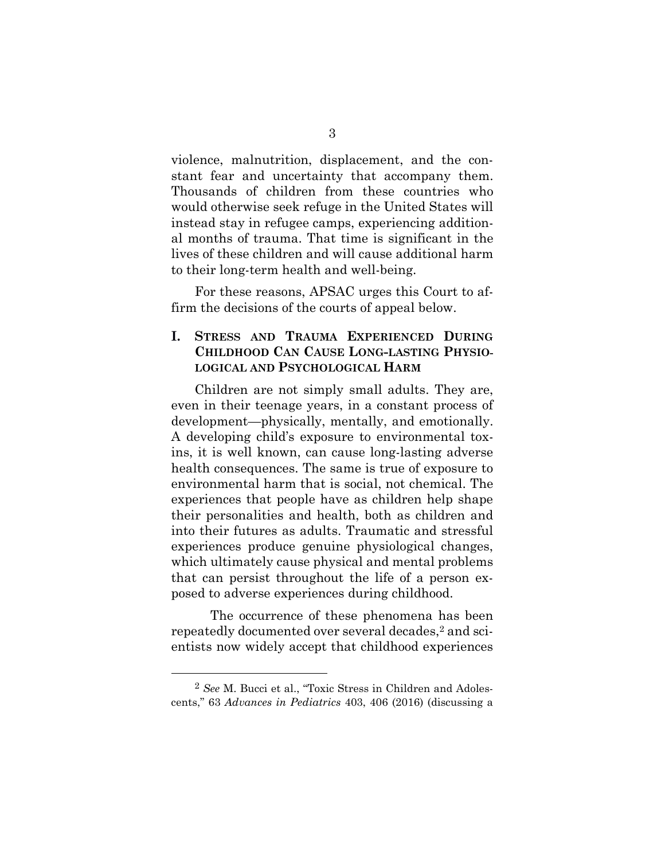violence, malnutrition, displacement, and the constant fear and uncertainty that accompany them. Thousands of children from these countries who would otherwise seek refuge in the United States will instead stay in refugee camps, experiencing additional months of trauma. That time is significant in the lives of these children and will cause additional harm to their long-term health and well-being.

For these reasons, APSAC urges this Court to affirm the decisions of the courts of appeal below.

#### **I. STRESS AND TRAUMA EXPERIENCED DURING CHILDHOOD CAN CAUSE LONG-LASTING PHYSIO-LOGICAL AND PSYCHOLOGICAL HARM**

Children are not simply small adults. They are, even in their teenage years, in a constant process of development—physically, mentally, and emotionally. A developing child's exposure to environmental toxins, it is well known, can cause long-lasting adverse health consequences. The same is true of exposure to environmental harm that is social, not chemical. The experiences that people have as children help shape their personalities and health, both as children and into their futures as adults. Traumatic and stressful experiences produce genuine physiological changes, which ultimately cause physical and mental problems that can persist throughout the life of a person exposed to adverse experiences during childhood.

The occurrence of these phenomena has been repeatedly documented over several decades,<sup>2</sup> and scientists now widely accept that childhood experiences

<sup>2</sup> *See* M. Bucci et al., "Toxic Stress in Children and Adolescents," 63 *Advances in Pediatrics* 403, 406 (2016) (discussing a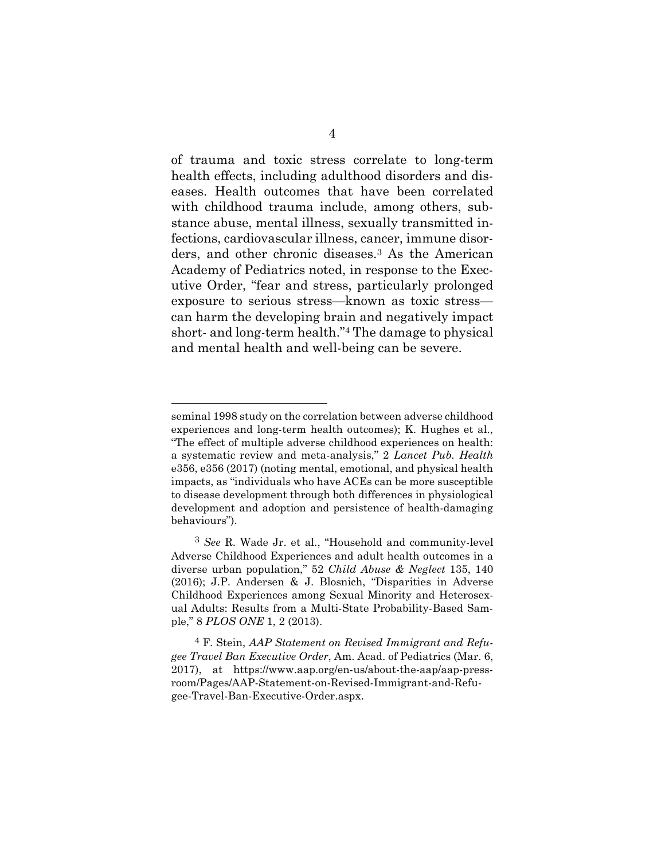of trauma and toxic stress correlate to long-term health effects, including adulthood disorders and diseases. Health outcomes that have been correlated with childhood trauma include, among others, substance abuse, mental illness, sexually transmitted infections, cardiovascular illness, cancer, immune disorders, and other chronic diseases.<sup>3</sup> As the American Academy of Pediatrics noted, in response to the Executive Order, "fear and stress, particularly prolonged exposure to serious stress—known as toxic stress can harm the developing brain and negatively impact short- and long-term health."<sup>4</sup> The damage to physical and mental health and well-being can be severe.

seminal 1998 study on the correlation between adverse childhood experiences and long-term health outcomes); K. Hughes et al., "The effect of multiple adverse childhood experiences on health: a systematic review and meta-analysis," 2 *Lancet Pub. Health* e356, e356 (2017) (noting mental, emotional, and physical health impacts, as "individuals who have ACEs can be more susceptible to disease development through both differences in physiological development and adoption and persistence of health-damaging behaviours").

<sup>3</sup> *See* R. Wade Jr. et al., "Household and community-level Adverse Childhood Experiences and adult health outcomes in a diverse urban population," 52 *Child Abuse & Neglect* 135, 140 (2016); J.P. Andersen & J. Blosnich, "Disparities in Adverse Childhood Experiences among Sexual Minority and Heterosexual Adults: Results from a Multi-State Probability-Based Sample," 8 *PLOS ONE* 1, 2 (2013).

<sup>4</sup> F. Stein, *AAP Statement on Revised Immigrant and Refugee Travel Ban Executive Order*, Am. Acad. of Pediatrics (Mar. 6, 2017), at https://www.aap.org/en-us/about-the-aap/aap-pressroom/Pages/AAP-Statement-on-Revised-Immigrant-and-Refugee-Travel-Ban-Executive-Order.aspx.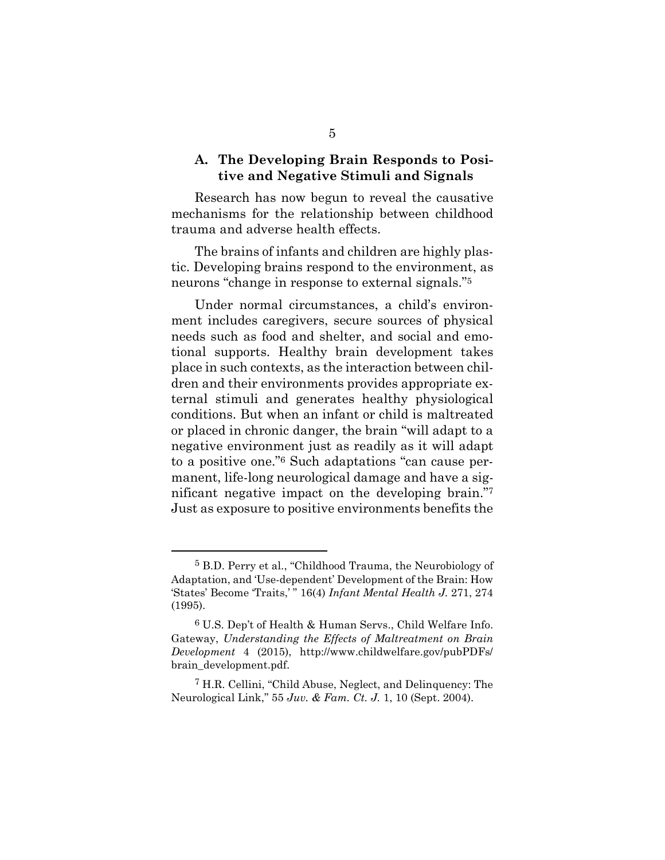#### **A. The Developing Brain Responds to Positive and Negative Stimuli and Signals**

Research has now begun to reveal the causative mechanisms for the relationship between childhood trauma and adverse health effects.

The brains of infants and children are highly plastic. Developing brains respond to the environment, as neurons "change in response to external signals."<sup>5</sup>

Under normal circumstances, a child's environment includes caregivers, secure sources of physical needs such as food and shelter, and social and emotional supports. Healthy brain development takes place in such contexts, as the interaction between children and their environments provides appropriate external stimuli and generates healthy physiological conditions. But when an infant or child is maltreated or placed in chronic danger, the brain "will adapt to a negative environment just as readily as it will adapt to a positive one."<sup>6</sup> Such adaptations "can cause permanent, life-long neurological damage and have a significant negative impact on the developing brain."<sup>7</sup> Just as exposure to positive environments benefits the

<sup>5</sup> B.D. Perry et al., "Childhood Trauma, the Neurobiology of Adaptation, and 'Use-dependent' Development of the Brain: How 'States' Become 'Traits,' " 16(4) *Infant Mental Health J.* 271, 274 (1995).

<sup>6</sup> U.S. Dep't of Health & Human Servs., Child Welfare Info. Gateway, *Understanding the Effects of Maltreatment on Brain Development* 4 (2015), http://www.childwelfare.gov/pubPDFs/ brain\_development.pdf.

<sup>7</sup> H.R. Cellini, "Child Abuse, Neglect, and Delinquency: The Neurological Link," 55 *Juv. & Fam. Ct. J.* 1, 10 (Sept. 2004).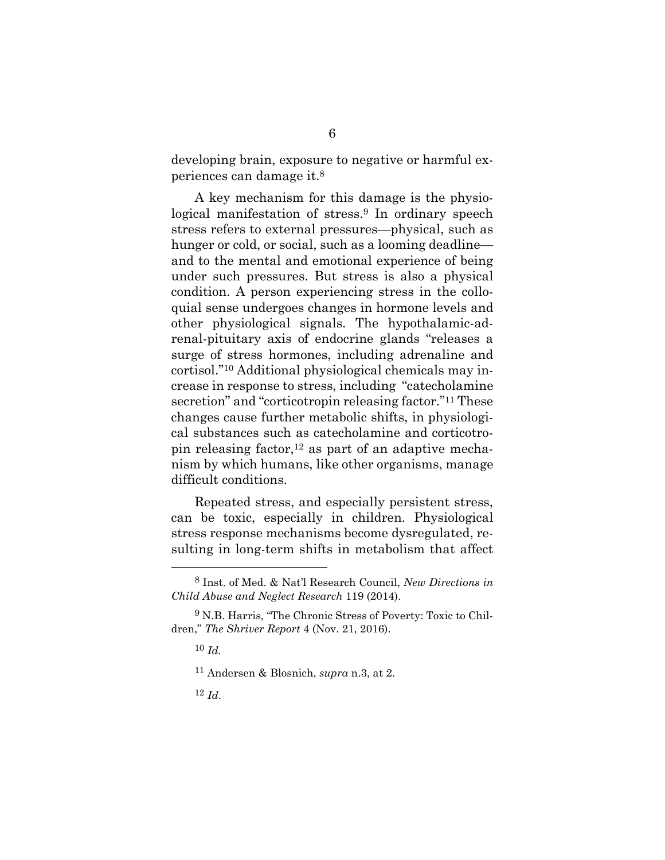developing brain, exposure to negative or harmful experiences can damage it.<sup>8</sup>

A key mechanism for this damage is the physiological manifestation of stress.<sup>9</sup> In ordinary speech stress refers to external pressures—physical, such as hunger or cold, or social, such as a looming deadline and to the mental and emotional experience of being under such pressures. But stress is also a physical condition. A person experiencing stress in the colloquial sense undergoes changes in hormone levels and other physiological signals. The hypothalamic-adrenal-pituitary axis of endocrine glands "releases a surge of stress hormones, including adrenaline and cortisol."<sup>10</sup> Additional physiological chemicals may increase in response to stress, including "catecholamine secretion" and "corticotropin releasing factor."<sup>11</sup> These changes cause further metabolic shifts, in physiological substances such as catecholamine and corticotropin releasing factor,<sup>12</sup> as part of an adaptive mechanism by which humans, like other organisms, manage difficult conditions.

Repeated stress, and especially persistent stress, can be toxic, especially in children. Physiological stress response mechanisms become dysregulated, resulting in long-term shifts in metabolism that affect

<sup>8</sup> Inst. of Med. & Nat'l Research Council, *New Directions in Child Abuse and Neglect Research* 119 (2014).

<sup>9</sup> N.B. Harris, "The Chronic Stress of Poverty: Toxic to Children," *The Shriver Report* 4 (Nov. 21, 2016).

<sup>10</sup> *Id.*

<sup>11</sup> Andersen & Blosnich, *supra* n.3, at 2.

<sup>12</sup> *Id*.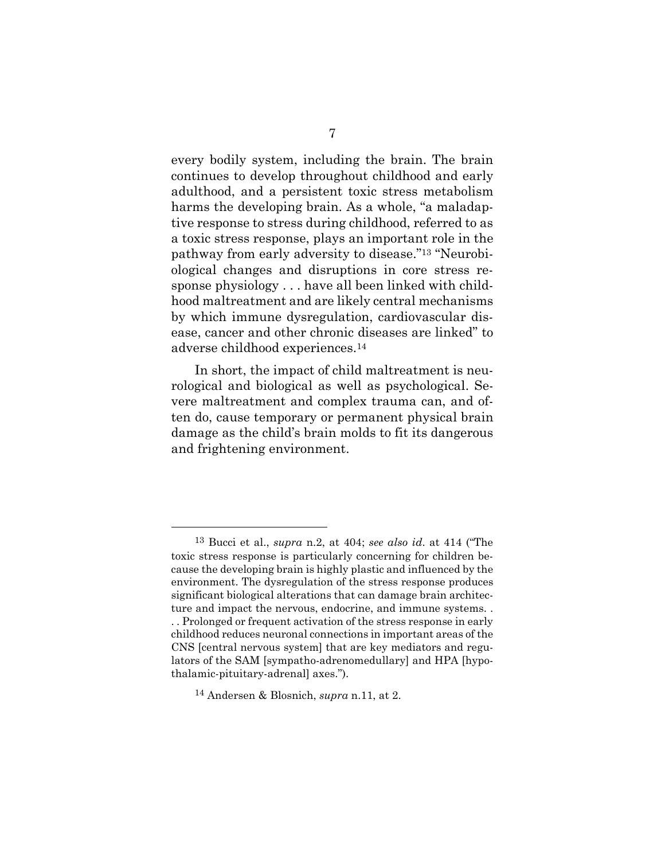every bodily system, including the brain. The brain continues to develop throughout childhood and early adulthood, and a persistent toxic stress metabolism harms the developing brain. As a whole, "a maladaptive response to stress during childhood, referred to as a toxic stress response, plays an important role in the pathway from early adversity to disease."<sup>13</sup> "Neurobiological changes and disruptions in core stress response physiology . . . have all been linked with childhood maltreatment and are likely central mechanisms by which immune dysregulation, cardiovascular disease, cancer and other chronic diseases are linked" to adverse childhood experiences.<sup>14</sup>

In short, the impact of child maltreatment is neurological and biological as well as psychological. Severe maltreatment and complex trauma can, and often do, cause temporary or permanent physical brain damage as the child's brain molds to fit its dangerous and frightening environment.

<sup>13</sup> Bucci et al., *supra* n.2, at 404; *see also id*. at 414 ("The toxic stress response is particularly concerning for children because the developing brain is highly plastic and influenced by the environment. The dysregulation of the stress response produces significant biological alterations that can damage brain architecture and impact the nervous, endocrine, and immune systems. . . . Prolonged or frequent activation of the stress response in early childhood reduces neuronal connections in important areas of the CNS [central nervous system] that are key mediators and regulators of the SAM [sympatho-adrenomedullary] and HPA [hypothalamic-pituitary-adrenal] axes.").

<sup>14</sup> Andersen & Blosnich, *supra* n.11, at 2.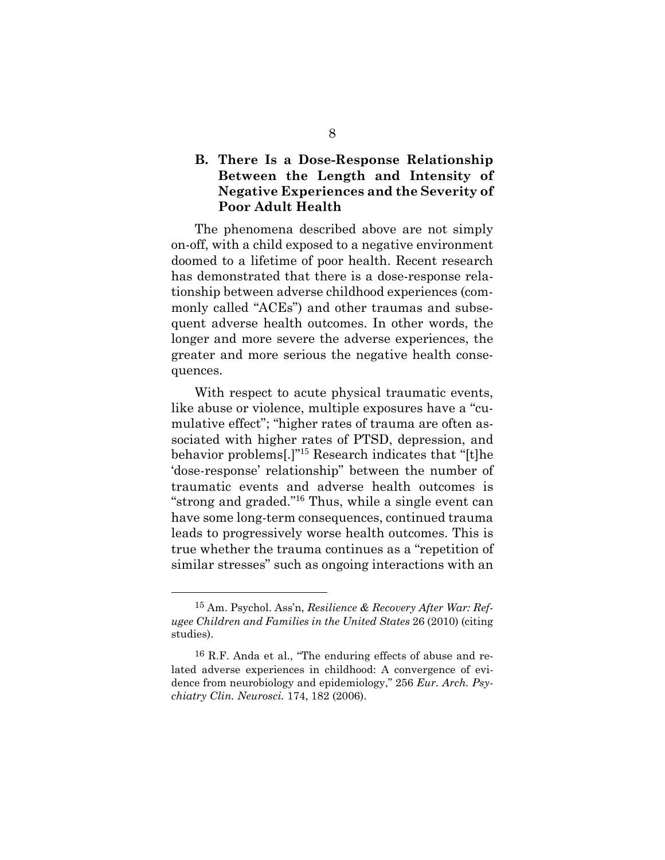#### **B. There Is a Dose-Response Relationship Between the Length and Intensity of Negative Experiences and the Severity of Poor Adult Health**

The phenomena described above are not simply on-off, with a child exposed to a negative environment doomed to a lifetime of poor health. Recent research has demonstrated that there is a dose-response relationship between adverse childhood experiences (commonly called "ACEs") and other traumas and subsequent adverse health outcomes. In other words, the longer and more severe the adverse experiences, the greater and more serious the negative health consequences.

With respect to acute physical traumatic events, like abuse or violence, multiple exposures have a "cumulative effect"; "higher rates of trauma are often associated with higher rates of PTSD, depression, and behavior problems[.]"<sup>15</sup> Research indicates that "[t]he 'dose-response' relationship" between the number of traumatic events and adverse health outcomes is "strong and graded."<sup>16</sup> Thus, while a single event can have some long-term consequences, continued trauma leads to progressively worse health outcomes. This is true whether the trauma continues as a "repetition of similar stresses" such as ongoing interactions with an

<sup>15</sup> Am. Psychol. Ass'n, *Resilience & Recovery After War: Refugee Children and Families in the United States* 26 (2010) (citing studies).

<sup>16</sup> R.F. Anda et al., "The enduring effects of abuse and related adverse experiences in childhood: A convergence of evidence from neurobiology and epidemiology," 256 *Eur. Arch. Psychiatry Clin. Neurosci.* 174, 182 (2006).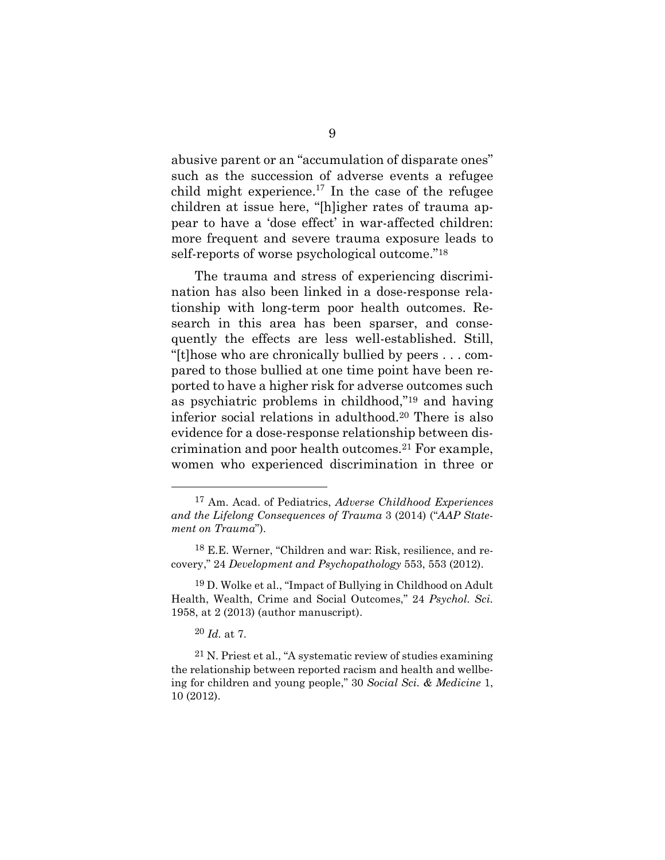abusive parent or an "accumulation of disparate ones" such as the succession of adverse events a refugee child might experience.<sup>17</sup> In the case of the refugee children at issue here, "[h]igher rates of trauma appear to have a 'dose effect' in war-affected children: more frequent and severe trauma exposure leads to self-reports of worse psychological outcome."<sup>18</sup>

The trauma and stress of experiencing discrimination has also been linked in a dose-response relationship with long-term poor health outcomes. Research in this area has been sparser, and consequently the effects are less well-established. Still, "[t]hose who are chronically bullied by peers . . . compared to those bullied at one time point have been reported to have a higher risk for adverse outcomes such as psychiatric problems in childhood,"<sup>19</sup> and having inferior social relations in adulthood.<sup>20</sup> There is also evidence for a dose-response relationship between discrimination and poor health outcomes.<sup>21</sup> For example, women who experienced discrimination in three or

<sup>17</sup> Am. Acad. of Pediatrics, *Adverse Childhood Experiences and the Lifelong Consequences of Trauma* 3 (2014) ("*AAP Statement on Trauma*").

<sup>18</sup> E.E. Werner, "Children and war: Risk, resilience, and recovery," 24 *Development and Psychopathology* 553, 553 (2012).

<sup>19</sup> D. Wolke et al., "Impact of Bullying in Childhood on Adult Health, Wealth, Crime and Social Outcomes," 24 *Psychol. Sci.* 1958, at 2 (2013) (author manuscript).

<sup>20</sup> *Id.* at 7.

<sup>21</sup> N. Priest et al., "A systematic review of studies examining the relationship between reported racism and health and wellbeing for children and young people," 30 *Social Sci. & Medicine* 1, 10 (2012).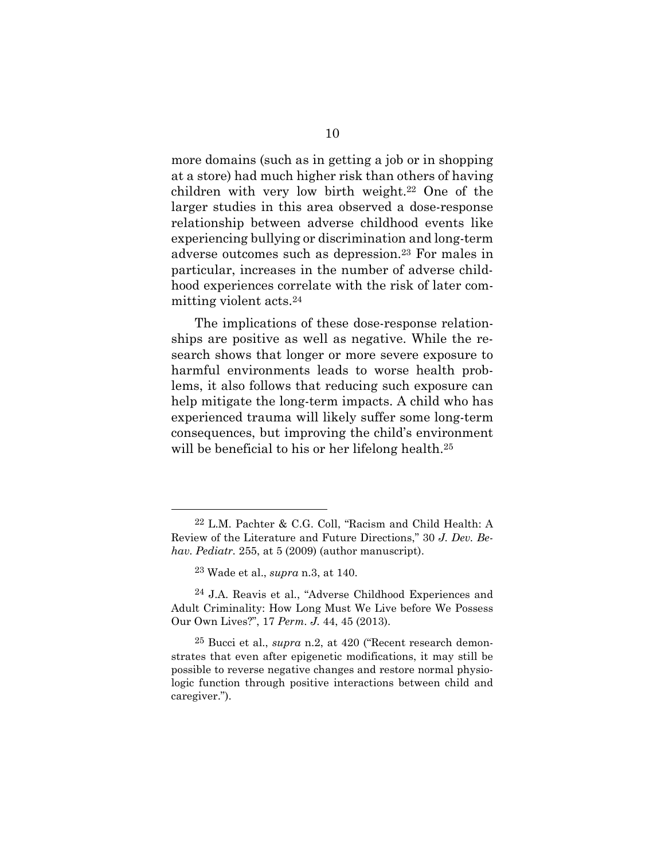more domains (such as in getting a job or in shopping at a store) had much higher risk than others of having children with very low birth weight.<sup>22</sup> One of the larger studies in this area observed a dose-response relationship between adverse childhood events like experiencing bullying or discrimination and long-term adverse outcomes such as depression.<sup>23</sup> For males in particular, increases in the number of adverse childhood experiences correlate with the risk of later committing violent acts.<sup>24</sup>

The implications of these dose-response relationships are positive as well as negative. While the research shows that longer or more severe exposure to harmful environments leads to worse health problems, it also follows that reducing such exposure can help mitigate the long-term impacts. A child who has experienced trauma will likely suffer some long-term consequences, but improving the child's environment will be beneficial to his or her lifelong health.<sup>25</sup>

<sup>22</sup> L.M. Pachter & C.G. Coll, "Racism and Child Health: A Review of the Literature and Future Directions," 30 *J. Dev. Behav. Pediatr.* 255, at 5 (2009) (author manuscript).

<sup>23</sup> Wade et al., *supra* n.3, at 140.

<sup>24</sup> J.A. Reavis et al., "Adverse Childhood Experiences and Adult Criminality: How Long Must We Live before We Possess Our Own Lives?", 17 *Perm. J.* 44, 45 (2013).

<sup>25</sup> Bucci et al., *supra* n.2, at 420 ("Recent research demonstrates that even after epigenetic modifications, it may still be possible to reverse negative changes and restore normal physiologic function through positive interactions between child and caregiver.").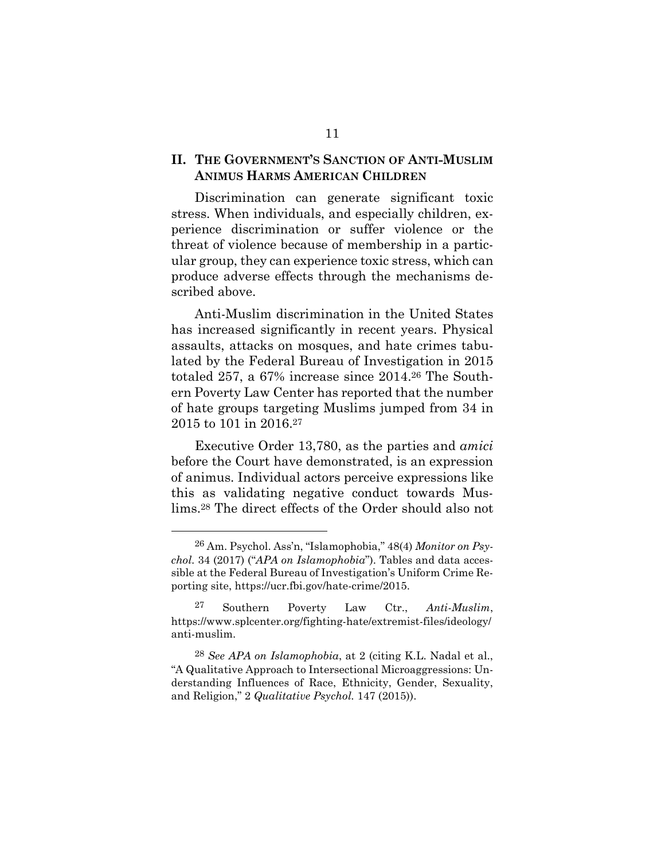#### **II. THE GOVERNMENT'S SANCTION OF ANTI-MUSLIM ANIMUS HARMS AMERICAN CHILDREN**

Discrimination can generate significant toxic stress. When individuals, and especially children, experience discrimination or suffer violence or the threat of violence because of membership in a particular group, they can experience toxic stress, which can produce adverse effects through the mechanisms described above.

Anti-Muslim discrimination in the United States has increased significantly in recent years. Physical assaults, attacks on mosques, and hate crimes tabulated by the Federal Bureau of Investigation in 2015 totaled 257, a 67% increase since 2014.<sup>26</sup> The Southern Poverty Law Center has reported that the number of hate groups targeting Muslims jumped from 34 in 2015 to 101 in 2016.<sup>27</sup>

Executive Order 13,780, as the parties and *amici* before the Court have demonstrated, is an expression of animus. Individual actors perceive expressions like this as validating negative conduct towards Muslims.<sup>28</sup> The direct effects of the Order should also not

<sup>26</sup> Am. Psychol. Ass'n, "Islamophobia," 48(4) *Monitor on Psychol.* 34 (2017) ("*APA on Islamophobia*"). Tables and data accessible at the Federal Bureau of Investigation's Uniform Crime Reporting site, https://ucr.fbi.gov/hate-crime/2015.

<sup>27</sup> Southern Poverty Law Ctr., *Anti-Muslim*, https://www.splcenter.org/fighting-hate/extremist-files/ideology/ anti-muslim.

<sup>28</sup> *See APA on Islamophobia*, at 2 (citing K.L. Nadal et al., "A Qualitative Approach to Intersectional Microaggressions: Understanding Influences of Race, Ethnicity, Gender, Sexuality, and Religion," 2 *Qualitative Psychol.* 147 (2015)).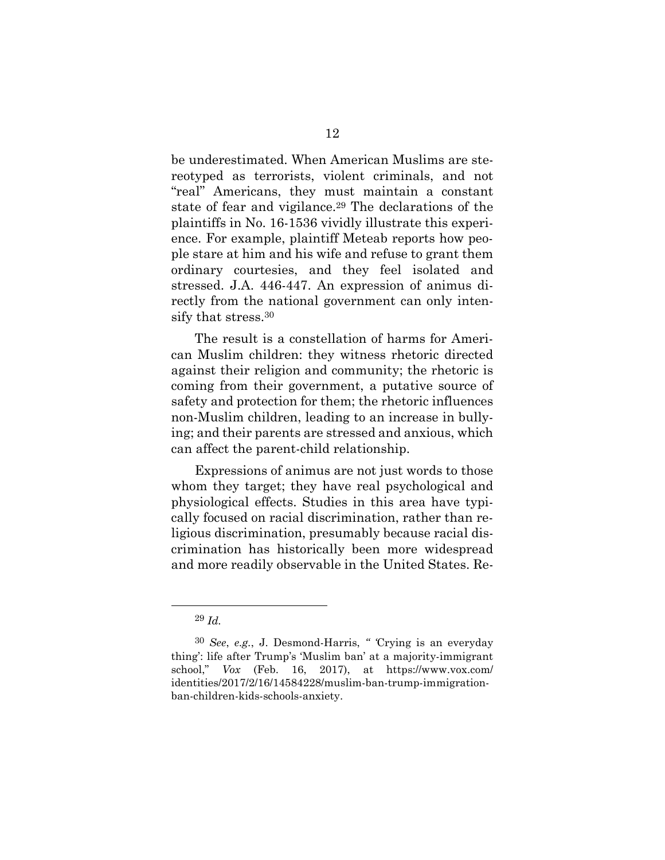be underestimated. When American Muslims are stereotyped as terrorists, violent criminals, and not "real" Americans, they must maintain a constant state of fear and vigilance.<sup>29</sup> The declarations of the plaintiffs in No. 16-1536 vividly illustrate this experience. For example, plaintiff Meteab reports how people stare at him and his wife and refuse to grant them ordinary courtesies, and they feel isolated and stressed. J.A. 446-447. An expression of animus directly from the national government can only intensify that stress.<sup>30</sup>

The result is a constellation of harms for American Muslim children: they witness rhetoric directed against their religion and community; the rhetoric is coming from their government, a putative source of safety and protection for them; the rhetoric influences non-Muslim children, leading to an increase in bullying; and their parents are stressed and anxious, which can affect the parent-child relationship.

Expressions of animus are not just words to those whom they target; they have real psychological and physiological effects. Studies in this area have typically focused on racial discrimination, rather than religious discrimination, presumably because racial discrimination has historically been more widespread and more readily observable in the United States. Re-

<sup>29</sup> *Id.*

<sup>30</sup> *See*, *e.g.*, J. Desmond-Harris, *" '*Crying is an everyday thing': life after Trump's 'Muslim ban' at a majority-immigrant school," *Vox* (Feb. 16, 2017), at https://www.vox.com/ identities/2017/2/16/14584228/muslim-ban-trump-immigrationban-children-kids-schools-anxiety.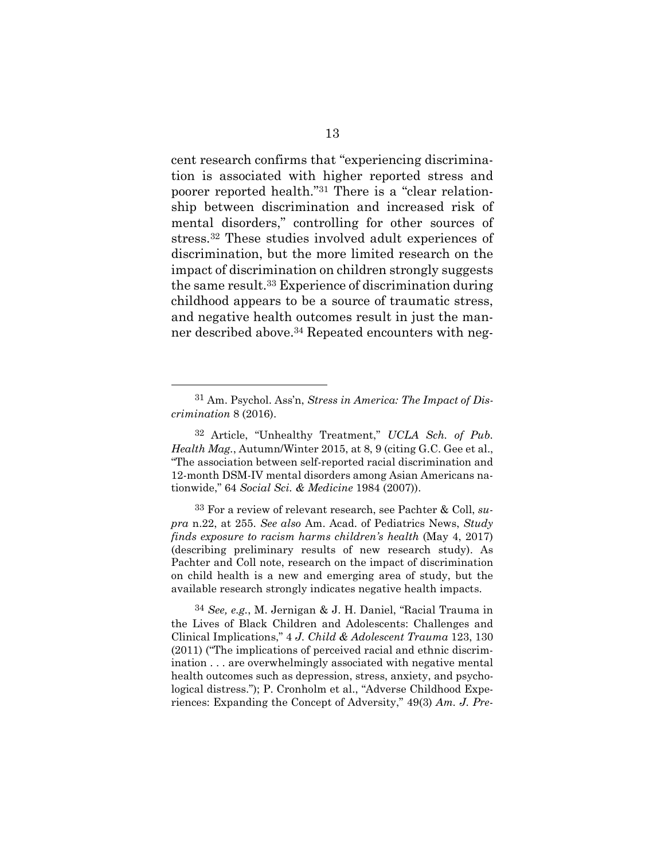cent research confirms that "experiencing discrimination is associated with higher reported stress and poorer reported health."<sup>31</sup> There is a "clear relationship between discrimination and increased risk of mental disorders," controlling for other sources of stress.<sup>32</sup> These studies involved adult experiences of discrimination, but the more limited research on the impact of discrimination on children strongly suggests the same result.<sup>33</sup> Experience of discrimination during childhood appears to be a source of traumatic stress, and negative health outcomes result in just the manner described above.<sup>34</sup> Repeated encounters with neg-

33 For a review of relevant research, see Pachter & Coll, *supra* n.22, at 255. *See also* Am. Acad. of Pediatrics News, *Study finds exposure to racism harms children's health* (May 4, 2017) (describing preliminary results of new research study). As Pachter and Coll note, research on the impact of discrimination on child health is a new and emerging area of study, but the available research strongly indicates negative health impacts.

34 *See, e.g.*, M. Jernigan & J. H. Daniel, "Racial Trauma in the Lives of Black Children and Adolescents: Challenges and Clinical Implications," 4 *J. Child & Adolescent Trauma* 123, 130 (2011) ("The implications of perceived racial and ethnic discrimination . . . are overwhelmingly associated with negative mental health outcomes such as depression, stress, anxiety, and psychological distress."); P. Cronholm et al., "Adverse Childhood Experiences: Expanding the Concept of Adversity," 49(3) *Am. J. Pre-*

<sup>31</sup> Am. Psychol. Ass'n, *Stress in America: The Impact of Discrimination* 8 (2016).

<sup>32</sup> Article, "Unhealthy Treatment," *UCLA Sch. of Pub. Health Mag.*, Autumn/Winter 2015, at 8, 9 (citing G.C. Gee et al., "The association between self-reported racial discrimination and 12-month DSM-IV mental disorders among Asian Americans nationwide," 64 *Social Sci. & Medicine* 1984 (2007)).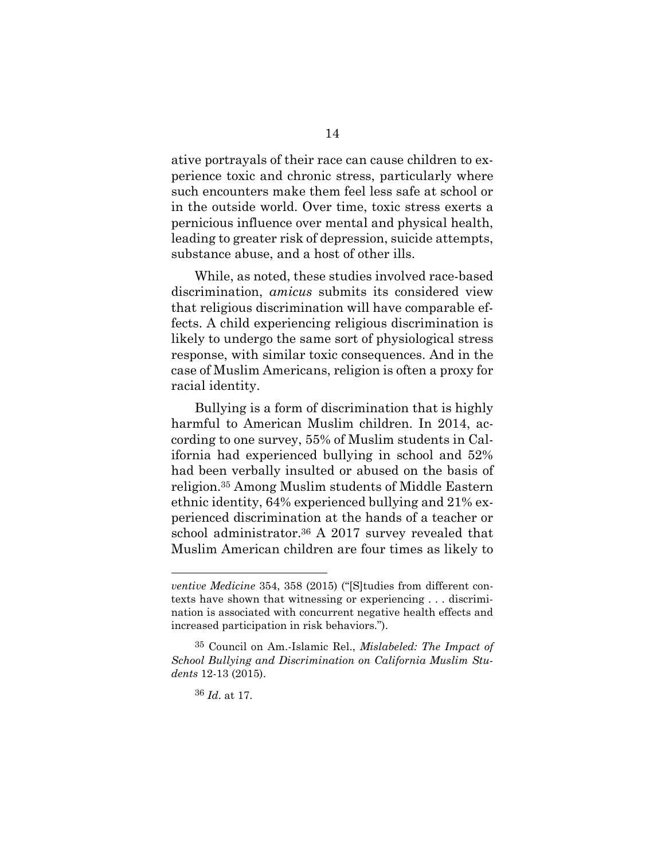ative portrayals of their race can cause children to experience toxic and chronic stress, particularly where such encounters make them feel less safe at school or in the outside world. Over time, toxic stress exerts a pernicious influence over mental and physical health, leading to greater risk of depression, suicide attempts, substance abuse, and a host of other ills.

While, as noted, these studies involved race-based discrimination, *amicus* submits its considered view that religious discrimination will have comparable effects. A child experiencing religious discrimination is likely to undergo the same sort of physiological stress response, with similar toxic consequences. And in the case of Muslim Americans, religion is often a proxy for racial identity.

Bullying is a form of discrimination that is highly harmful to American Muslim children. In 2014, according to one survey, 55% of Muslim students in California had experienced bullying in school and 52% had been verbally insulted or abused on the basis of religion.<sup>35</sup> Among Muslim students of Middle Eastern ethnic identity, 64% experienced bullying and 21% experienced discrimination at the hands of a teacher or school administrator.<sup>36</sup> A 2017 survey revealed that Muslim American children are four times as likely to

36 *Id*. at 17.

*ventive Medicine* 354, 358 (2015) ("[S]tudies from different contexts have shown that witnessing or experiencing . . . discrimination is associated with concurrent negative health effects and increased participation in risk behaviors.").

<sup>35</sup> Council on Am.-Islamic Rel., *Mislabeled: The Impact of School Bullying and Discrimination on California Muslim Students* 12-13 (2015).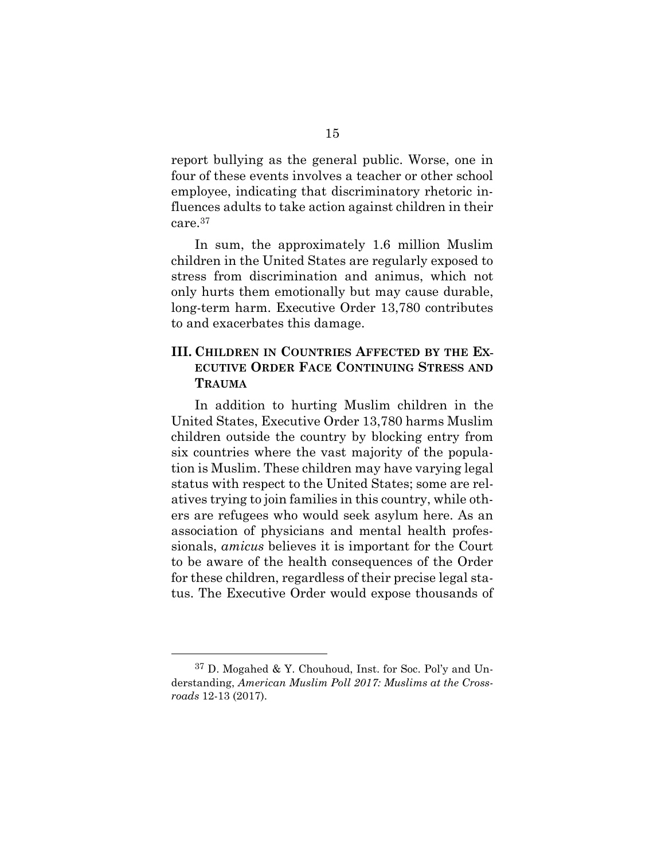report bullying as the general public. Worse, one in four of these events involves a teacher or other school employee, indicating that discriminatory rhetoric influences adults to take action against children in their care.<sup>37</sup>

In sum, the approximately 1.6 million Muslim children in the United States are regularly exposed to stress from discrimination and animus, which not only hurts them emotionally but may cause durable, long-term harm. Executive Order 13,780 contributes to and exacerbates this damage.

#### **III. CHILDREN IN COUNTRIES AFFECTED BY THE EX-ECUTIVE ORDER FACE CONTINUING STRESS AND TRAUMA**

In addition to hurting Muslim children in the United States, Executive Order 13,780 harms Muslim children outside the country by blocking entry from six countries where the vast majority of the population is Muslim. These children may have varying legal status with respect to the United States; some are relatives trying to join families in this country, while others are refugees who would seek asylum here. As an association of physicians and mental health professionals, *amicus* believes it is important for the Court to be aware of the health consequences of the Order for these children, regardless of their precise legal status. The Executive Order would expose thousands of

<sup>37</sup> D. Mogahed & Y. Chouhoud, Inst. for Soc. Pol'y and Understanding, *American Muslim Poll 2017: Muslims at the Crossroads* 12-13 (2017).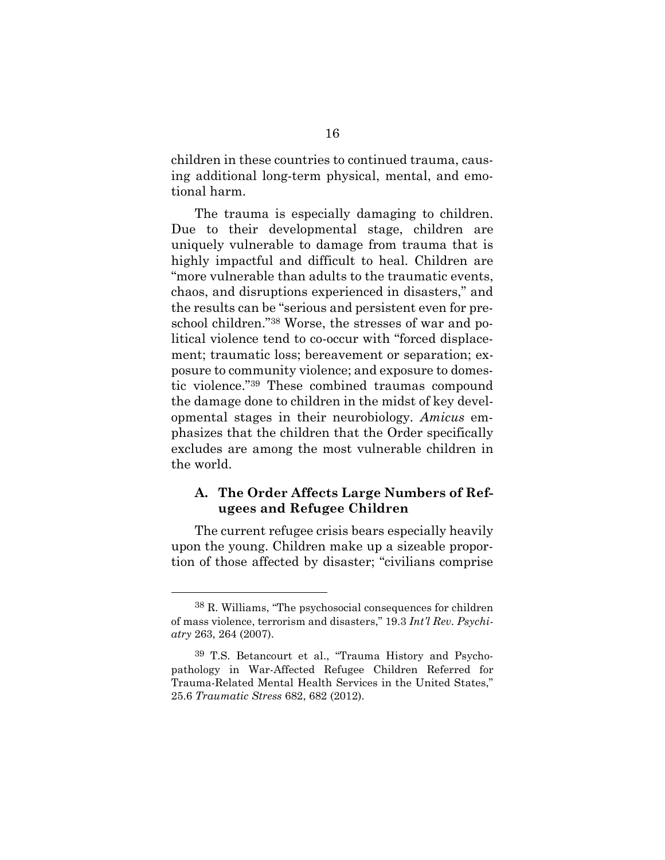children in these countries to continued trauma, causing additional long-term physical, mental, and emotional harm.

The trauma is especially damaging to children. Due to their developmental stage, children are uniquely vulnerable to damage from trauma that is highly impactful and difficult to heal. Children are "more vulnerable than adults to the traumatic events, chaos, and disruptions experienced in disasters," and the results can be "serious and persistent even for preschool children."<sup>38</sup> Worse, the stresses of war and political violence tend to co-occur with "forced displacement; traumatic loss; bereavement or separation; exposure to community violence; and exposure to domestic violence."<sup>39</sup> These combined traumas compound the damage done to children in the midst of key developmental stages in their neurobiology. *Amicus* emphasizes that the children that the Order specifically excludes are among the most vulnerable children in the world.

#### **A. The Order Affects Large Numbers of Refugees and Refugee Children**

The current refugee crisis bears especially heavily upon the young. Children make up a sizeable proportion of those affected by disaster; "civilians comprise

<sup>38</sup> R. Williams, "The psychosocial consequences for children of mass violence, terrorism and disasters," 19.3 *Int'l Rev. Psychiatry* 263, 264 (2007).

<sup>39</sup> T.S. Betancourt et al., "Trauma History and Psychopathology in War-Affected Refugee Children Referred for Trauma-Related Mental Health Services in the United States," 25.6 *Traumatic Stress* 682, 682 (2012).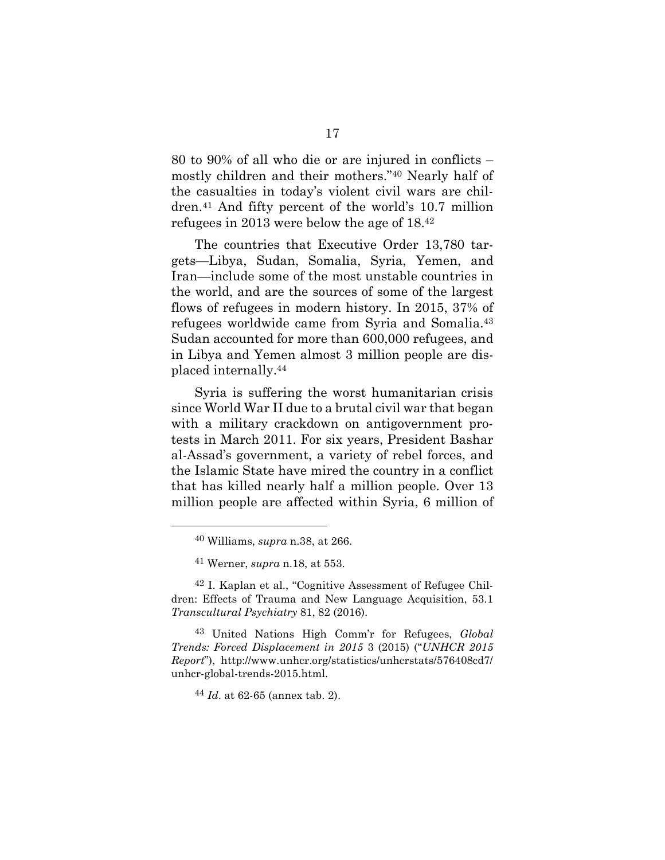80 to 90% of all who die or are injured in conflicts – mostly children and their mothers."<sup>40</sup> Nearly half of the casualties in today's violent civil wars are children.<sup>41</sup> And fifty percent of the world's 10.7 million refugees in 2013 were below the age of 18.<sup>42</sup>

The countries that Executive Order 13,780 targets—Libya, Sudan, Somalia, Syria, Yemen, and Iran—include some of the most unstable countries in the world, and are the sources of some of the largest flows of refugees in modern history. In 2015, 37% of refugees worldwide came from Syria and Somalia.<sup>43</sup> Sudan accounted for more than 600,000 refugees, and in Libya and Yemen almost 3 million people are displaced internally.<sup>44</sup>

Syria is suffering the worst humanitarian crisis since World War II due to a brutal civil war that began with a military crackdown on antigovernment protests in March 2011. For six years, President Bashar al-Assad's government, a variety of rebel forces, and the Islamic State have mired the country in a conflict that has killed nearly half a million people. Over 13 million people are affected within Syria, 6 million of

44 *Id*. at 62-65 (annex tab. 2).

<sup>40</sup> Williams, *supra* n.38, at 266.

<sup>41</sup> Werner, *supra* n.18, at 553.

<sup>42</sup> I. Kaplan et al., "Cognitive Assessment of Refugee Children: Effects of Trauma and New Language Acquisition, 53.1 *Transcultural Psychiatry* 81, 82 (2016).

<sup>43</sup> United Nations High Comm'r for Refugees, *Global Trends: Forced Displacement in 2015* 3 (2015) ("*UNHCR 2015 Report*"), http://www.unhcr.org/statistics/unhcrstats/576408cd7/ unhcr-global-trends-2015.html.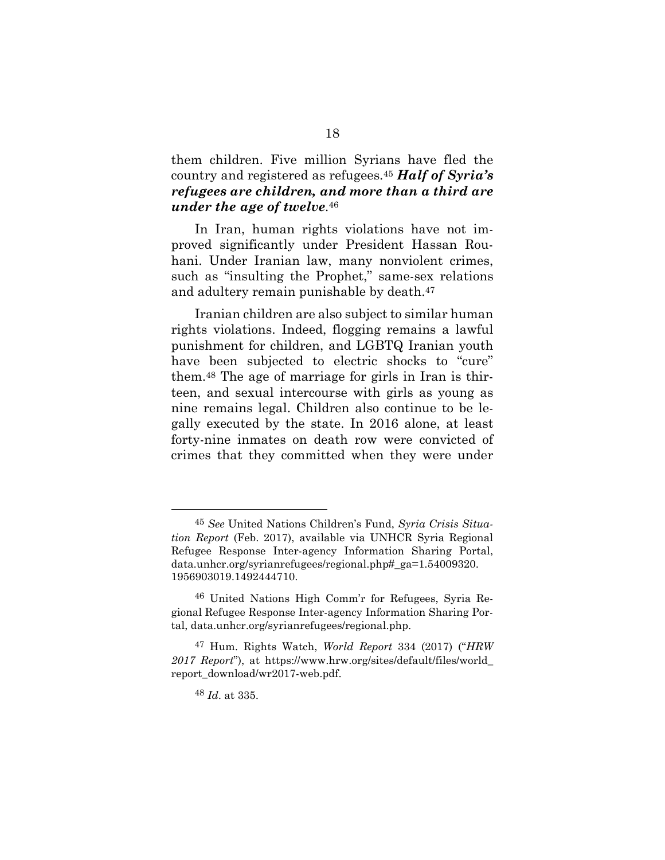them children. Five million Syrians have fled the country and registered as refugees.<sup>45</sup> *Half of Syria's refugees are children, and more than a third are under the age of twelve.* 46

In Iran, human rights violations have not improved significantly under President Hassan Rouhani. Under Iranian law, many nonviolent crimes, such as "insulting the Prophet," same-sex relations and adultery remain punishable by death.<sup>47</sup>

Iranian children are also subject to similar human rights violations. Indeed, flogging remains a lawful punishment for children, and LGBTQ Iranian youth have been subjected to electric shocks to "cure" them.<sup>48</sup> The age of marriage for girls in Iran is thirteen, and sexual intercourse with girls as young as nine remains legal. Children also continue to be legally executed by the state. In 2016 alone, at least forty-nine inmates on death row were convicted of crimes that they committed when they were under

<sup>45</sup> *See* United Nations Children's Fund, *Syria Crisis Situation Report* (Feb. 2017), available via UNHCR Syria Regional Refugee Response Inter-agency Information Sharing Portal, data.unhcr.org/syrianrefugees/regional.php#\_ga=1.54009320. 1956903019.1492444710.

<sup>46</sup> United Nations High Comm'r for Refugees, Syria Regional Refugee Response Inter-agency Information Sharing Portal, data.unhcr.org/syrianrefugees/regional.php.

<sup>47</sup> Hum. Rights Watch, *World Report* 334 (2017) ("*HRW 2017 Report*"), at https://www.hrw.org/sites/default/files/world\_ report\_download/wr2017-web.pdf.

<sup>48</sup> *Id*. at 335.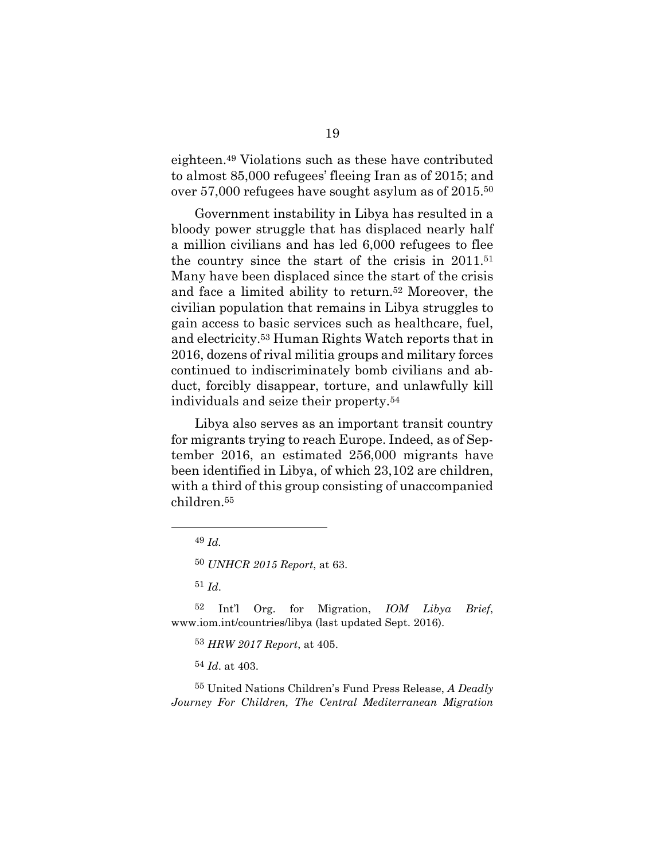eighteen.<sup>49</sup> Violations such as these have contributed to almost 85,000 refugees' fleeing Iran as of 2015; and over 57,000 refugees have sought asylum as of 2015.<sup>50</sup>

Government instability in Libya has resulted in a bloody power struggle that has displaced nearly half a million civilians and has led 6,000 refugees to flee the country since the start of the crisis in 2011.<sup>51</sup> Many have been displaced since the start of the crisis and face a limited ability to return.<sup>52</sup> Moreover, the civilian population that remains in Libya struggles to gain access to basic services such as healthcare, fuel, and electricity.<sup>53</sup> Human Rights Watch reports that in 2016, dozens of rival militia groups and military forces continued to indiscriminately bomb civilians and abduct, forcibly disappear, torture, and unlawfully kill individuals and seize their property.<sup>54</sup>

Libya also serves as an important transit country for migrants trying to reach Europe. Indeed, as of September 2016, an estimated 256,000 migrants have been identified in Libya, of which 23,102 are children, with a third of this group consisting of unaccompanied children.<sup>55</sup>

55 United Nations Children's Fund Press Release, *A Deadly Journey For Children, The Central Mediterranean Migration*

<sup>49</sup> *Id.*

<sup>50</sup> *UNHCR 2015 Report*, at 63.

<sup>51</sup> *Id*.

<sup>52</sup> Int'l Org. for Migration, *IOM Libya Brief*, www.iom.int/countries/libya (last updated Sept. 2016).

<sup>53</sup> *HRW 2017 Report*, at 405.

<sup>54</sup> *Id*. at 403.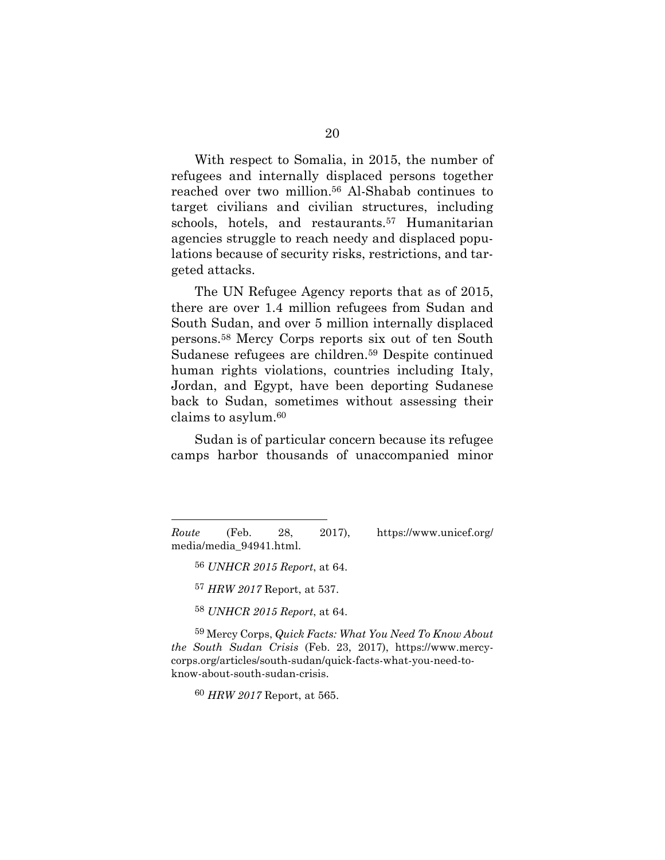With respect to Somalia, in 2015, the number of refugees and internally displaced persons together reached over two million.<sup>56</sup> Al-Shabab continues to target civilians and civilian structures, including schools, hotels, and restaurants.<sup>57</sup> Humanitarian agencies struggle to reach needy and displaced populations because of security risks, restrictions, and targeted attacks.

The UN Refugee Agency reports that as of 2015, there are over 1.4 million refugees from Sudan and South Sudan, and over 5 million internally displaced persons.<sup>58</sup> Mercy Corps reports six out of ten South Sudanese refugees are children.<sup>59</sup> Despite continued human rights violations, countries including Italy, Jordan, and Egypt, have been deporting Sudanese back to Sudan, sometimes without assessing their claims to asylum.<sup>60</sup>

Sudan is of particular concern because its refugee camps harbor thousands of unaccompanied minor

*Route* (Feb. 28, 2017), https://www.unicef.org/ media/media\_94941.html.

56 *UNHCR 2015 Report*, at 64.

57 *HRW 2017* Report, at 537.

58 *UNHCR 2015 Report*, at 64.

59 Mercy Corps, *Quick Facts: What You Need To Know About the South Sudan Crisis* (Feb. 23, 2017), https://www.mercycorps.org/articles/south-sudan/quick-facts-what-you-need-toknow-about-south-sudan-crisis.

60 *HRW 2017* Report, at 565.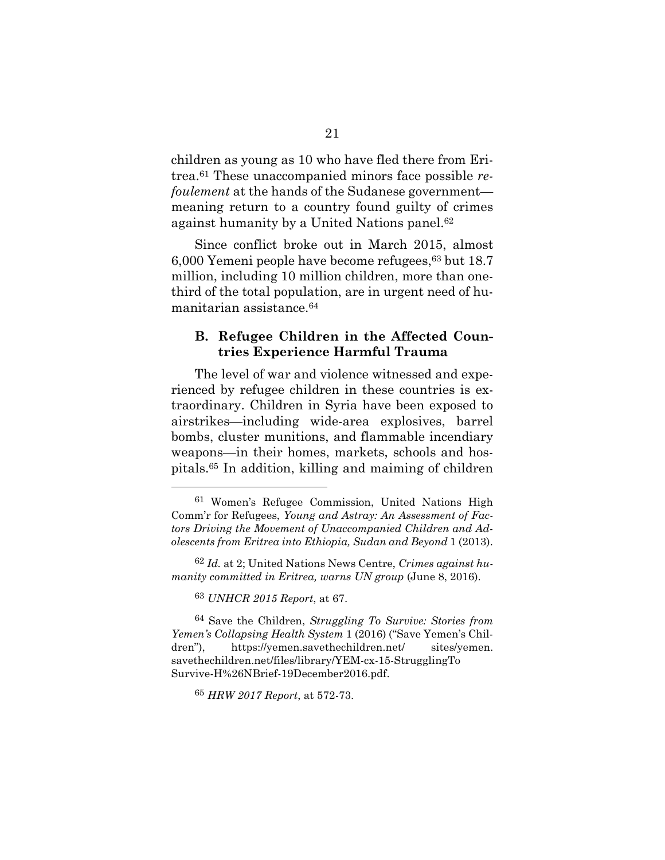children as young as 10 who have fled there from Eritrea.<sup>61</sup> These unaccompanied minors face possible *refoulement* at the hands of the Sudanese government meaning return to a country found guilty of crimes against humanity by a United Nations panel.<sup>62</sup>

Since conflict broke out in March 2015, almost 6,000 Yemeni people have become refugees,<sup>63</sup> but 18.7 million, including 10 million children, more than onethird of the total population, are in urgent need of humanitarian assistance.<sup>64</sup>

#### **B. Refugee Children in the Affected Countries Experience Harmful Trauma**

The level of war and violence witnessed and experienced by refugee children in these countries is extraordinary. Children in Syria have been exposed to airstrikes—including wide-area explosives, barrel bombs, cluster munitions, and flammable incendiary weapons—in their homes, markets, schools and hospitals.<sup>65</sup> In addition, killing and maiming of children

<sup>61</sup> Women's Refugee Commission, United Nations High Comm'r for Refugees, *Young and Astray: An Assessment of Factors Driving the Movement of Unaccompanied Children and Adolescents from Eritrea into Ethiopia, Sudan and Beyond* 1 (2013).

<sup>62</sup> *Id.* at 2; United Nations News Centre, *Crimes against humanity committed in Eritrea, warns UN group* (June 8, 2016).

<sup>63</sup> *UNHCR 2015 Report*, at 67.

<sup>64</sup> Save the Children, *Struggling To Survive: Stories from Yemen's Collapsing Health System* 1 (2016) ("Save Yemen's Children"), https://yemen.savethechildren.net/ sites/yemen. savethechildren.net/files/library/YEM-cx-15-StrugglingTo Survive-H%26NBrief-19December2016.pdf.

<sup>65</sup> *HRW 2017 Report*, at 572-73.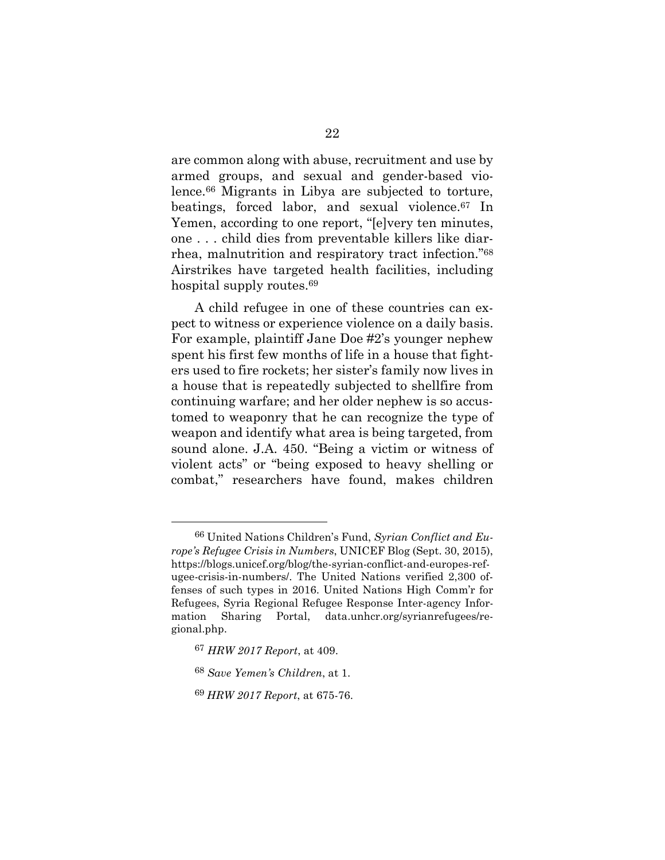are common along with abuse, recruitment and use by armed groups, and sexual and gender-based violence.<sup>66</sup> Migrants in Libya are subjected to torture, beatings, forced labor, and sexual violence.<sup>67</sup> In Yemen, according to one report, "[e]very ten minutes, one . . . child dies from preventable killers like diarrhea, malnutrition and respiratory tract infection."<sup>68</sup> Airstrikes have targeted health facilities, including hospital supply routes.<sup>69</sup>

A child refugee in one of these countries can expect to witness or experience violence on a daily basis. For example, plaintiff Jane Doe #2's younger nephew spent his first few months of life in a house that fighters used to fire rockets; her sister's family now lives in a house that is repeatedly subjected to shellfire from continuing warfare; and her older nephew is so accustomed to weaponry that he can recognize the type of weapon and identify what area is being targeted, from sound alone. J.A. 450. "Being a victim or witness of violent acts" or "being exposed to heavy shelling or combat," researchers have found, makes children

<sup>66</sup> United Nations Children's Fund, *Syrian Conflict and Europe's Refugee Crisis in Numbers*, UNICEF Blog (Sept. 30, 2015), https://blogs.unicef.org/blog/the-syrian-conflict-and-europes-refugee-crisis-in-numbers/. The United Nations verified 2,300 offenses of such types in 2016. United Nations High Comm'r for Refugees, Syria Regional Refugee Response Inter-agency Information Sharing Portal, data.unhcr.org/syrianrefugees/regional.php.

<sup>67</sup> *HRW 2017 Report*, at 409.

<sup>68</sup> *Save Yemen's Children*, at 1.

<sup>69</sup> *HRW 2017 Report*, at 675-76.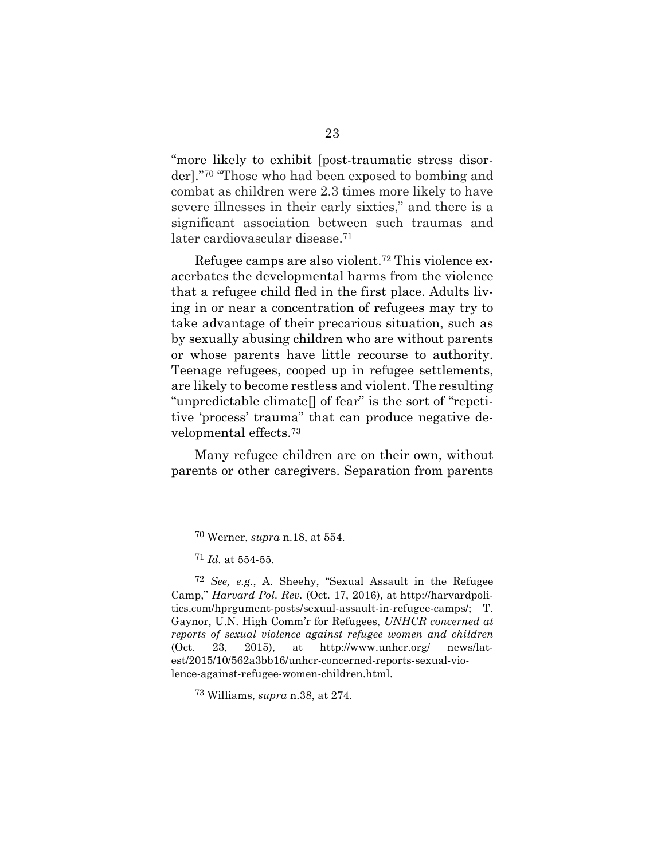"more likely to exhibit [post-traumatic stress disorder]."<sup>70</sup> "Those who had been exposed to bombing and combat as children were 2.3 times more likely to have severe illnesses in their early sixties," and there is a significant association between such traumas and later cardiovascular disease.<sup>71</sup>

Refugee camps are also violent.<sup>72</sup> This violence exacerbates the developmental harms from the violence that a refugee child fled in the first place. Adults living in or near a concentration of refugees may try to take advantage of their precarious situation, such as by sexually abusing children who are without parents or whose parents have little recourse to authority. Teenage refugees, cooped up in refugee settlements, are likely to become restless and violent. The resulting "unpredictable climate[] of fear" is the sort of "repetitive 'process' trauma" that can produce negative developmental effects.<sup>73</sup>

Many refugee children are on their own, without parents or other caregivers. Separation from parents

<sup>70</sup> Werner, *supra* n.18, at 554.

<sup>71</sup> *Id.* at 554-55.

<sup>72</sup> *See, e.g.*, A. Sheehy, "Sexual Assault in the Refugee Camp," *Harvard Pol. Rev.* (Oct. 17, 2016), at http://harvardpolitics.com/hprgument-posts/sexual-assault-in-refugee-camps/; T. Gaynor, U.N. High Comm'r for Refugees, *UNHCR concerned at reports of sexual violence against refugee women and children* (Oct. 23, 2015), at http://www.unhcr.org/ news/latest/2015/10/562a3bb16/unhcr-concerned-reports-sexual-violence-against-refugee-women-children.html.

<sup>73</sup> Williams, *supra* n.38, at 274.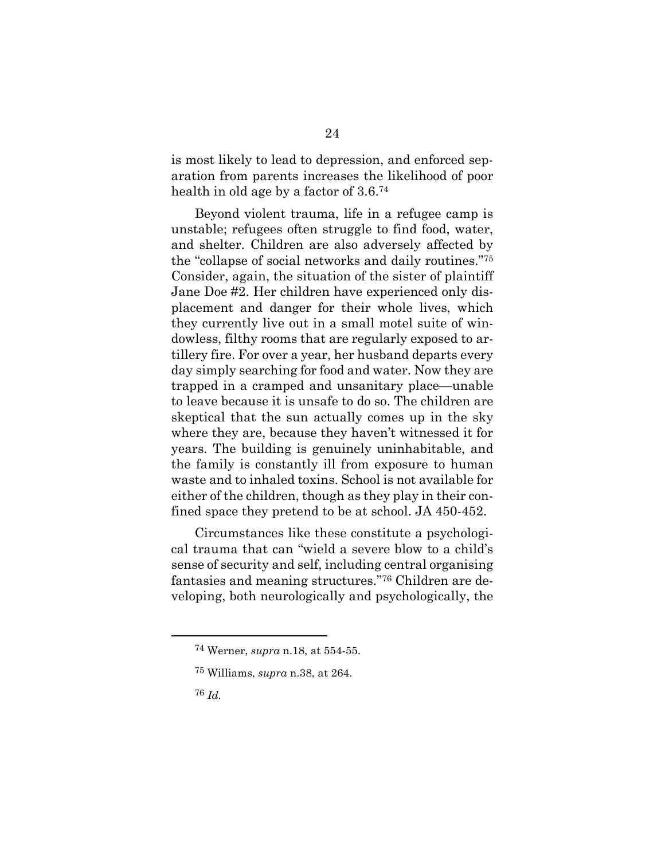is most likely to lead to depression, and enforced separation from parents increases the likelihood of poor health in old age by a factor of 3.6.<sup>74</sup>

Beyond violent trauma, life in a refugee camp is unstable; refugees often struggle to find food, water, and shelter. Children are also adversely affected by the "collapse of social networks and daily routines."<sup>75</sup> Consider, again, the situation of the sister of plaintiff Jane Doe #2. Her children have experienced only displacement and danger for their whole lives, which they currently live out in a small motel suite of windowless, filthy rooms that are regularly exposed to artillery fire. For over a year, her husband departs every day simply searching for food and water. Now they are trapped in a cramped and unsanitary place—unable to leave because it is unsafe to do so. The children are skeptical that the sun actually comes up in the sky where they are, because they haven't witnessed it for years. The building is genuinely uninhabitable, and the family is constantly ill from exposure to human waste and to inhaled toxins. School is not available for either of the children, though as they play in their confined space they pretend to be at school. JA 450-452.

Circumstances like these constitute a psychological trauma that can "wield a severe blow to a child's sense of security and self, including central organising fantasies and meaning structures."<sup>76</sup> Children are developing, both neurologically and psychologically, the

<sup>74</sup> Werner, *supra* n.18, at 554-55.

<sup>75</sup> Williams, *supra* n.38, at 264.

<sup>76</sup> *Id.*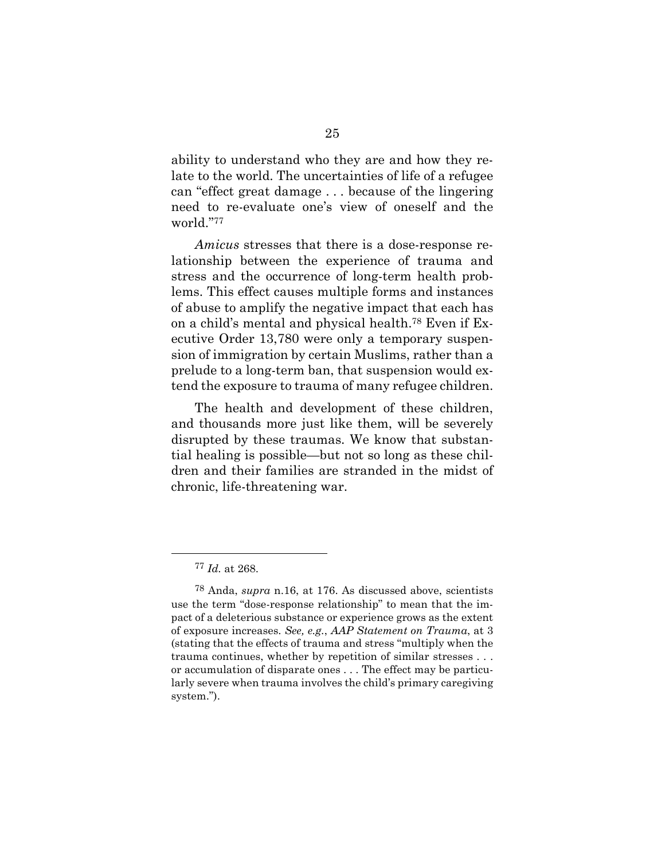ability to understand who they are and how they relate to the world. The uncertainties of life of a refugee can "effect great damage . . . because of the lingering need to re-evaluate one's view of oneself and the world."<sup>77</sup>

*Amicus* stresses that there is a dose-response relationship between the experience of trauma and stress and the occurrence of long-term health problems. This effect causes multiple forms and instances of abuse to amplify the negative impact that each has on a child's mental and physical health.<sup>78</sup> Even if Executive Order 13,780 were only a temporary suspension of immigration by certain Muslims, rather than a prelude to a long-term ban, that suspension would extend the exposure to trauma of many refugee children.

The health and development of these children, and thousands more just like them, will be severely disrupted by these traumas. We know that substantial healing is possible—but not so long as these children and their families are stranded in the midst of chronic, life-threatening war.

<sup>77</sup> *Id.* at 268.

<sup>78</sup> Anda, *supra* n.16, at 176. As discussed above, scientists use the term "dose-response relationship" to mean that the impact of a deleterious substance or experience grows as the extent of exposure increases. *See, e.g.*, *AAP Statement on Trauma*, at 3 (stating that the effects of trauma and stress "multiply when the trauma continues, whether by repetition of similar stresses . . . or accumulation of disparate ones . . . The effect may be particularly severe when trauma involves the child's primary caregiving system.").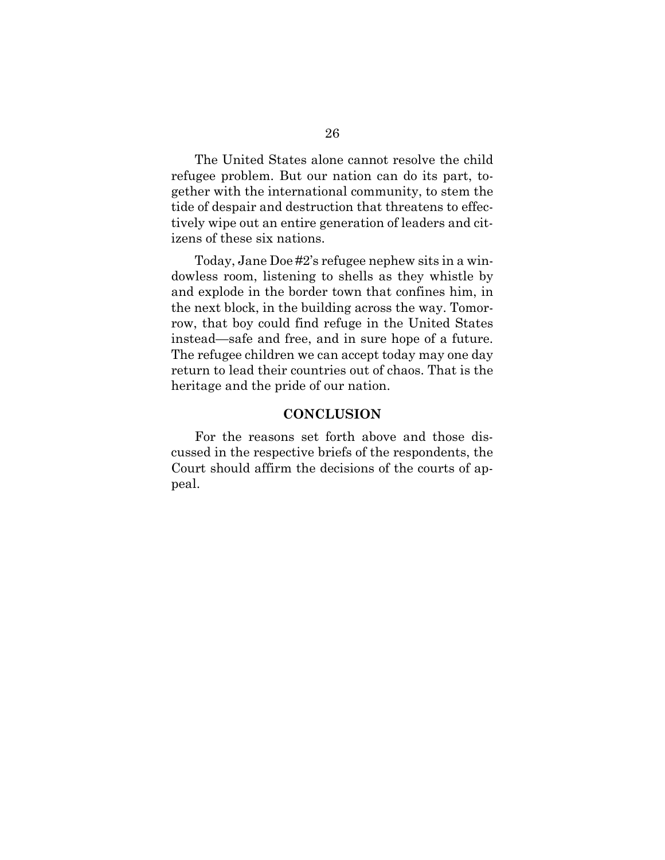The United States alone cannot resolve the child refugee problem. But our nation can do its part, together with the international community, to stem the tide of despair and destruction that threatens to effectively wipe out an entire generation of leaders and citizens of these six nations.

Today, Jane Doe #2's refugee nephew sits in a windowless room, listening to shells as they whistle by and explode in the border town that confines him, in the next block, in the building across the way. Tomorrow, that boy could find refuge in the United States instead—safe and free, and in sure hope of a future. The refugee children we can accept today may one day return to lead their countries out of chaos. That is the heritage and the pride of our nation.

#### **CONCLUSION**

For the reasons set forth above and those discussed in the respective briefs of the respondents, the Court should affirm the decisions of the courts of appeal.